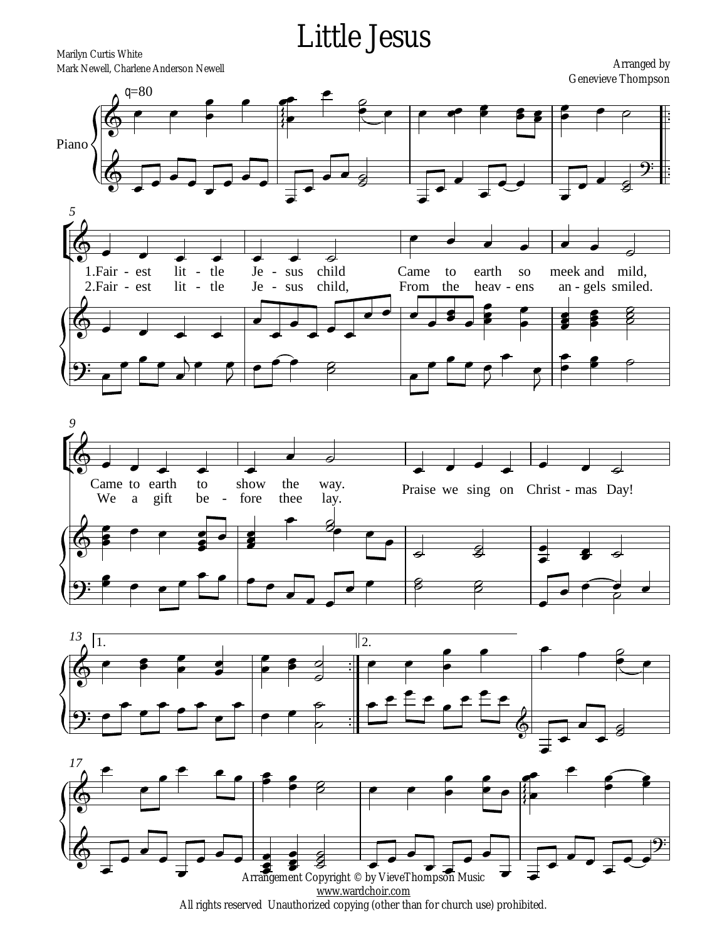## **Little Jesus**

Marilyn Curtis White Mark Newell, Charlene Anderson Newell

**Arranged by Genevieve Thompson** 



Arrangement Copyright © by VieveThompson Music www.wardchoir.com All rights reserved Unauthorized copying (other than for church use) prohibited.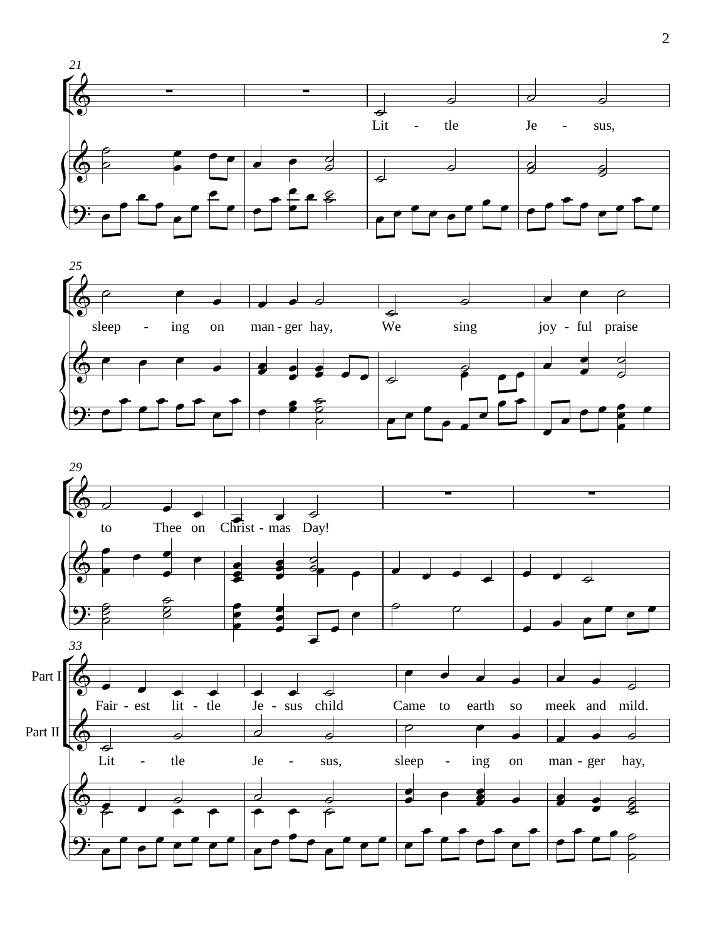